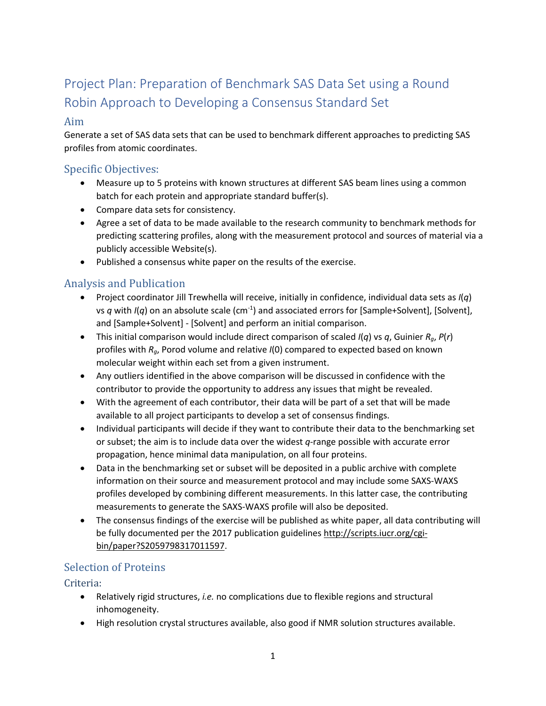# Project Plan: Preparation of Benchmark SAS Data Set using a Round Robin Approach to Developing a Consensus Standard Set

#### Aim

Generate a set of SAS data sets that can be used to benchmark different approaches to predicting SAS profiles from atomic coordinates.

## Specific Objectives:

- Measure up to 5 proteins with known structures at different SAS beam lines using a common batch for each protein and appropriate standard buffer(s).
- Compare data sets for consistency.
- Agree a set of data to be made available to the research community to benchmark methods for predicting scattering profiles, along with the measurement protocol and sources of material via a publicly accessible Website(s).
- Published a consensus white paper on the results of the exercise.

## Analysis and Publication

- Project coordinator Jill Trewhella will receive, initially in confidence, individual data sets as *I*(*q*) vs *q* with *I*(*q*) on an absolute scale (cm<sup>-1</sup>) and associated errors for [Sample+Solvent], [Solvent], and [Sample+Solvent] - [Solvent] and perform an initial comparison.
- This initial comparison would include direct comparison of scaled *I*(*q*) vs *q*, Guinier *Rg*, *P*(*r*) profiles with *Rg*, Porod volume and relative *I*(0) compared to expected based on known molecular weight within each set from a given instrument.
- Any outliers identified in the above comparison will be discussed in confidence with the contributor to provide the opportunity to address any issues that might be revealed.
- With the agreement of each contributor, their data will be part of a set that will be made available to all project participants to develop a set of consensus findings.
- Individual participants will decide if they want to contribute their data to the benchmarking set or subset; the aim is to include data over the widest *q*-range possible with accurate error propagation, hence minimal data manipulation, on all four proteins.
- Data in the benchmarking set or subset will be deposited in a public archive with complete information on their source and measurement protocol and may include some SAXS-WAXS profiles developed by combining different measurements. In this latter case, the contributing measurements to generate the SAXS-WAXS profile will also be deposited.
- The consensus findings of the exercise will be published as white paper, all data contributing will be fully documented per the 2017 publication guidelines [http://scripts.iucr.org/cgi](http://scripts.iucr.org/cgi-bin/paper?S2059798317011597)[bin/paper?S2059798317011597.](http://scripts.iucr.org/cgi-bin/paper?S2059798317011597)

## Selection of Proteins

Criteria:

- Relatively rigid structures, *i.e.* no complications due to flexible regions and structural inhomogeneity.
- High resolution crystal structures available, also good if NMR solution structures available.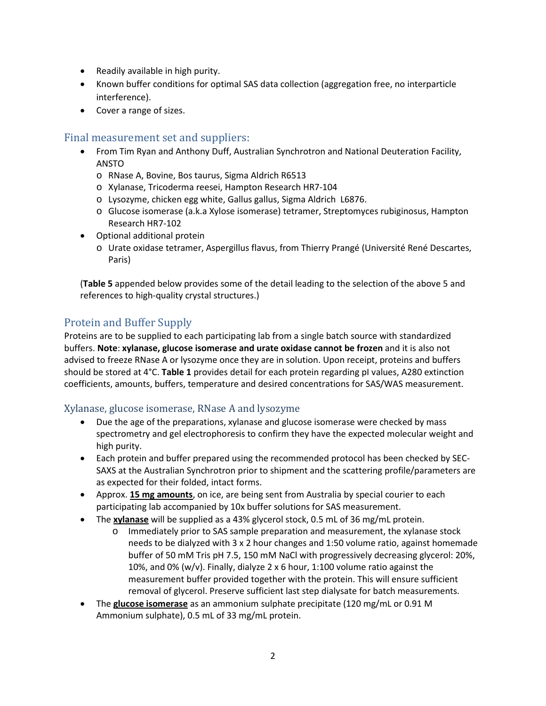- Readily available in high purity.
- Known buffer conditions for optimal SAS data collection (aggregation free, no interparticle interference).
- Cover a range of sizes.

#### Final measurement set and suppliers:

- From Tim Ryan and Anthony Duff, Australian Synchrotron and National Deuteration Facility, ANSTO
	- o RNase A, Bovine, Bos taurus, Sigma Aldrich R6513
	- o Xylanase, Tricoderma reesei, Hampton Research HR7-104
	- o Lysozyme, chicken egg white, Gallus gallus, Sigma Aldrich L6876.
	- o Glucose isomerase (a.k.a Xylose isomerase) tetramer, Streptomyces rubiginosus, Hampton Research HR7-102
- Optional additional protein
	- o Urate oxidase tetramer, Aspergillus flavus, from Thierry Prangé (Université René Descartes, Paris)

(**Table 5** appended below provides some of the detail leading to the selection of the above 5 and references to high-quality crystal structures.)

### Protein and Buffer Supply

Proteins are to be supplied to each participating lab from a single batch source with standardized buffers. **Note**: **xylanase, glucose isomerase and urate oxidase cannot be frozen** and it is also not advised to freeze RNase A or lysozyme once they are in solution. Upon receipt, proteins and buffers should be stored at 4°C. **Table 1** provides detail for each protein regarding pI values, A280 extinction coefficients, amounts, buffers, temperature and desired concentrations for SAS/WAS measurement.

#### Xylanase, glucose isomerase, RNase A and lysozyme

- Due the age of the preparations, xylanase and glucose isomerase were checked by mass spectrometry and gel electrophoresis to confirm they have the expected molecular weight and high purity.
- Each protein and buffer prepared using the recommended protocol has been checked by SEC-SAXS at the Australian Synchrotron prior to shipment and the scattering profile/parameters are as expected for their folded, intact forms.
- Approx. **15 mg amounts**, on ice, are being sent from Australia by special courier to each participating lab accompanied by 10x buffer solutions for SAS measurement.
- The **xylanase** will be supplied as a 43% glycerol stock, 0.5 mL of 36 mg/mL protein.
	- o Immediately prior to SAS sample preparation and measurement, the xylanase stock needs to be dialyzed with 3 x 2 hour changes and 1:50 volume ratio, against homemade buffer of 50 mM Tris pH 7.5, 150 mM NaCl with progressively decreasing glycerol: 20%, 10%, and 0% (w/v). Finally, dialyze 2 x 6 hour, 1:100 volume ratio against the measurement buffer provided together with the protein. This will ensure sufficient removal of glycerol. Preserve sufficient last step dialysate for batch measurements.
- The **glucose isomerase** as an ammonium sulphate precipitate (120 mg/mL or 0.91 M Ammonium sulphate), 0.5 mL of 33 mg/mL protein.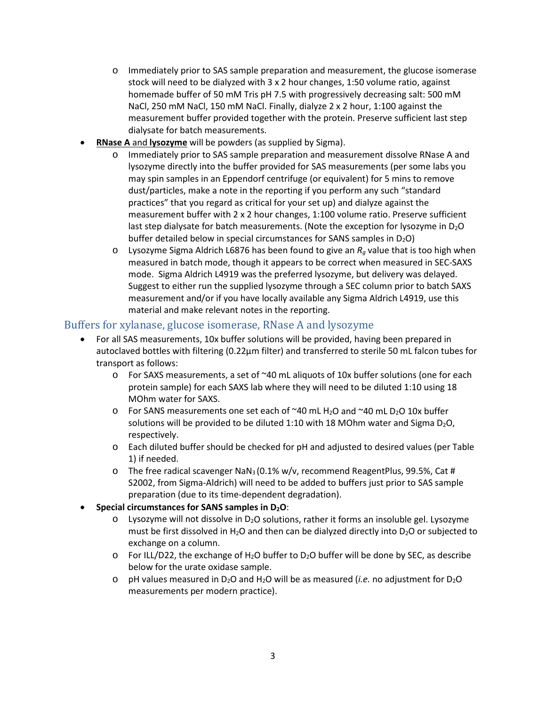- o Immediately prior to SAS sample preparation and measurement, the glucose isomerase stock will need to be dialyzed with 3 x 2 hour changes, 1:50 volume ratio, against homemade buffer of 50 mM Tris pH 7.5 with progressively decreasing salt: 500 mM NaCl, 250 mM NaCl, 150 mM NaCl. Finally, dialyze 2 x 2 hour, 1:100 against the measurement buffer provided together with the protein. Preserve sufficient last step dialysate for batch measurements.
- **RNase A** and **lysozyme** will be powders (as supplied by Sigma).
	- o Immediately prior to SAS sample preparation and measurement dissolve RNase A and lysozyme directly into the buffer provided for SAS measurements (per some labs you may spin samples in an Eppendorf centrifuge (or equivalent) for 5 mins to remove dust/particles, make a note in the reporting if you perform any such "standard practices" that you regard as critical for your set up) and dialyze against the measurement buffer with 2 x 2 hour changes, 1:100 volume ratio. Preserve sufficient last step dialysate for batch measurements. (Note the exception for lysozyme in D<sub>2</sub>O buffer detailed below in special circumstances for SANS samples in  $D_2O$ )
	- o Lysozyme Sigma Aldrich L6876 has been found to give an *Rg* value that is too high when measured in batch mode, though it appears to be correct when measured in SEC-SAXS mode. Sigma Aldrich L4919 was the preferred lysozyme, but delivery was delayed. Suggest to either run the supplied lysozyme through a SEC column prior to batch SAXS measurement and/or if you have locally available any Sigma Aldrich L4919, use this material and make relevant notes in the reporting.

#### Buffers for xylanase, glucose isomerase, RNase A and lysozyme

- For all SAS measurements, 10x buffer solutions will be provided, having been prepared in autoclaved bottles with filtering (0.22µm filter) and transferred to sterile 50 mL falcon tubes for transport as follows:
	- $\circ$  For SAXS measurements, a set of  $\sim$ 40 mL aliquots of 10x buffer solutions (one for each protein sample) for each SAXS lab where they will need to be diluted 1:10 using 18 MOhm water for SAXS.
	- $\circ$  For SANS measurements one set each of ~40 mL H<sub>2</sub>O and ~40 mL D<sub>2</sub>O 10x buffer solutions will be provided to be diluted 1:10 with 18 MOhm water and Sigma D<sub>2</sub>O, respectively.
	- o Each diluted buffer should be checked for pH and adjusted to desired values (per Table 1) if needed.
	- $\circ$  The free radical scavenger NaN<sub>3</sub> (0.1% w/v, recommend ReagentPlus, 99.5%, Cat # S2002, from Sigma-Aldrich) will need to be added to buffers just prior to SAS sample preparation (due to its time-dependent degradation).
- **Special circumstances for SANS samples in D2O**:
	- $\circ$  Lysozyme will not dissolve in D<sub>2</sub>O solutions, rather it forms an insoluble gel. Lysozyme must be first dissolved in H<sub>2</sub>O and then can be dialyzed directly into  $D_2O$  or subjected to exchange on a column.
	- $\circ$  For ILL/D22, the exchange of H<sub>2</sub>O buffer to D<sub>2</sub>O buffer will be done by SEC, as describe below for the urate oxidase sample.
	- o pH values measured in D2O and H2O will be as measured (*i.e.* no adjustment for D2O measurements per modern practice).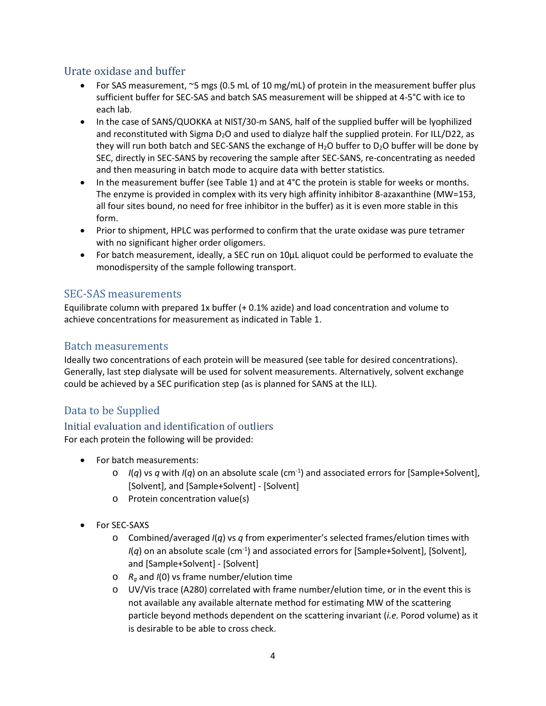#### Urate oxidase and buffer

- For SAS measurement, ~5 mgs (0.5 mL of 10 mg/mL) of protein in the measurement buffer plus sufficient buffer for SEC-SAS and batch SAS measurement will be shipped at 4-5°C with ice to each lab.
- In the case of SANS/QUOKKA at NIST/30-m SANS, half of the supplied buffer will be lyophilized and reconstituted with Sigma  $D_2O$  and used to dialyze half the supplied protein. For ILL/D22, as they will run both batch and SEC-SANS the exchange of H<sub>2</sub>O buffer to D<sub>2</sub>O buffer will be done by SEC, directly in SEC-SANS by recovering the sample after SEC-SANS, re-concentrating as needed and then measuring in batch mode to acquire data with better statistics.
- In the measurement buffer (see Table 1) and at 4°C the protein is stable for weeks or months. The enzyme is provided in complex with its very high affinity inhibitor 8-azaxanthine (MW=153, all four sites bound, no need for free inhibitor in the buffer) as it is even more stable in this form.
- Prior to shipment, HPLC was performed to confirm that the urate oxidase was pure tetramer with no significant higher order oligomers.
- For batch measurement, ideally, a SEC run on 10µL aliquot could be performed to evaluate the monodispersity of the sample following transport.

#### SEC-SAS measurements

Equilibrate column with prepared 1x buffer (+ 0.1% azide) and load concentration and volume to achieve concentrations for measurement as indicated in Table 1.

#### Batch measurements

Ideally two concentrations of each protein will be measured (see table for desired concentrations). Generally, last step dialysate will be used for solvent measurements. Alternatively, solvent exchange could be achieved by a SEC purification step (as is planned for SANS at the ILL).

#### Data to be Supplied

#### Initial evaluation and identification of outliers

For each protein the following will be provided:

- For batch measurements:
	- o *I*(*q*) vs *q* with *I*(*q*) on an absolute scale (cm-1 ) and associated errors for [Sample+Solvent], [Solvent], and [Sample+Solvent] - [Solvent]
	- o Protein concentration value(s)
- For SEC-SAXS
	- o Combined/averaged *I*(*q*) vs *q* from experimenter's selected frames/elution times with  $I(q)$  on an absolute scale (cm<sup>-1</sup>) and associated errors for [Sample+Solvent], [Solvent], and [Sample+Solvent] - [Solvent]
	- o *Rg* and *I*(0) vs frame number/elution time
	- o UV/Vis trace (A280) correlated with frame number/elution time, or in the event this is not available any available alternate method for estimating MW of the scattering particle beyond methods dependent on the scattering invariant (*i.e.* Porod volume) as it is desirable to be able to cross check.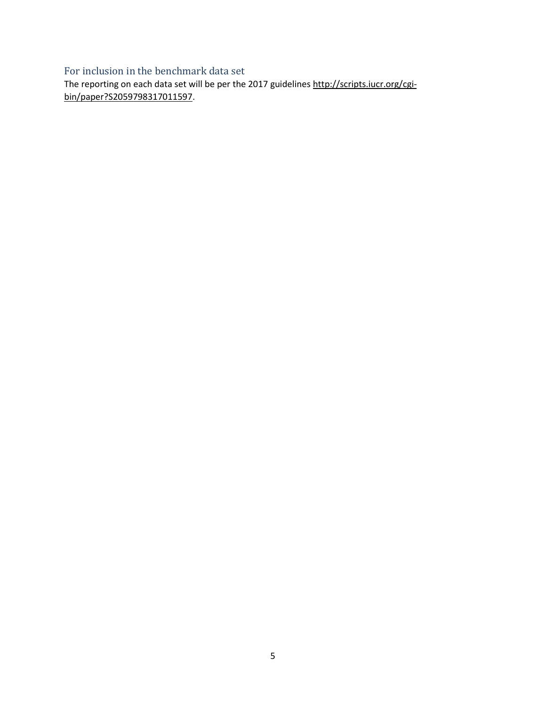### For inclusion in the benchmark data set

The reporting on each data set will be per the 2017 guidelines [http://scripts.iucr.org/cgi](http://scripts.iucr.org/cgi-bin/paper?S2059798317011597)[bin/paper?S2059798317011597.](http://scripts.iucr.org/cgi-bin/paper?S2059798317011597)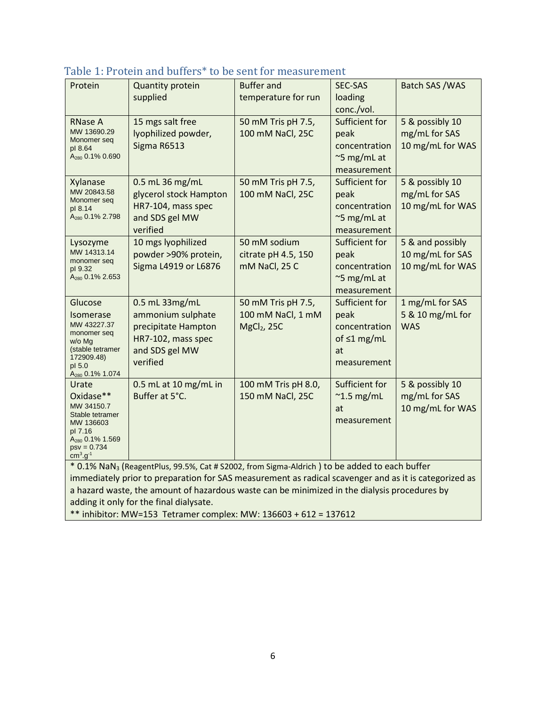| Protein                                                                                                  | Quantity protein                        | <b>Buffer and</b>                      | <b>SEC-SAS</b>               | Batch SAS /WAS                   |  |  |  |
|----------------------------------------------------------------------------------------------------------|-----------------------------------------|----------------------------------------|------------------------------|----------------------------------|--|--|--|
|                                                                                                          | supplied                                | temperature for run                    | loading                      |                                  |  |  |  |
|                                                                                                          |                                         |                                        | conc./vol.<br>Sufficient for |                                  |  |  |  |
| <b>RNase A</b><br>MW 13690.29                                                                            | 15 mgs salt free<br>lyophilized powder, | 50 mM Tris pH 7.5,<br>100 mM NaCl, 25C | peak                         | 5 & possibly 10<br>mg/mL for SAS |  |  |  |
| Monomer seq                                                                                              | Sigma R6513                             |                                        | concentration                | 10 mg/mL for WAS                 |  |  |  |
| pl 8.64<br>A <sub>280</sub> 0.1% 0.690                                                                   |                                         |                                        | $\approx$ 5 mg/mL at         |                                  |  |  |  |
|                                                                                                          |                                         |                                        | measurement                  |                                  |  |  |  |
| Xylanase                                                                                                 | 0.5 mL 36 mg/mL                         | 50 mM Tris pH 7.5,                     | Sufficient for               | 5 & possibly 10                  |  |  |  |
| MW 20843.58                                                                                              | glycerol stock Hampton                  | 100 mM NaCl, 25C                       | peak                         | mg/mL for SAS                    |  |  |  |
| Monomer seg<br>pl 8.14                                                                                   | HR7-104, mass spec                      |                                        | concentration                | 10 mg/mL for WAS                 |  |  |  |
| A <sub>280</sub> 0.1% 2.798                                                                              | and SDS gel MW                          |                                        | $\approx$ 5 mg/mL at         |                                  |  |  |  |
|                                                                                                          | verified                                |                                        | measurement                  |                                  |  |  |  |
| Lysozyme                                                                                                 | 10 mgs lyophilized                      | 50 mM sodium                           | Sufficient for               | 5 & and possibly                 |  |  |  |
| MW 14313.14<br>monomer seq                                                                               | powder >90% protein,                    | citrate pH 4.5, 150                    | peak                         | 10 mg/mL for SAS                 |  |  |  |
| pl 9.32                                                                                                  | Sigma L4919 or L6876                    | mM NaCl, 25 C                          | concentration                | 10 mg/mL for WAS                 |  |  |  |
| A <sub>280</sub> 0.1% 2.653                                                                              |                                         |                                        | $\approx$ 5 mg/mL at         |                                  |  |  |  |
|                                                                                                          |                                         |                                        | measurement                  |                                  |  |  |  |
| Glucose                                                                                                  | 0.5 mL 33mg/mL                          | 50 mM Tris pH 7.5,                     | Sufficient for               | 1 mg/mL for SAS                  |  |  |  |
| <b>Isomerase</b>                                                                                         | ammonium sulphate                       | 100 mM NaCl, 1 mM                      | peak                         | 5 & 10 mg/mL for                 |  |  |  |
| MW 43227.37<br>monomer seq                                                                               | precipitate Hampton                     | MgCl <sub>2</sub> , 25C                | concentration                | <b>WAS</b>                       |  |  |  |
| w/o Mg                                                                                                   | HR7-102, mass spec                      |                                        | of $\leq 1$ mg/mL            |                                  |  |  |  |
| (stable tetramer<br>172909.48)                                                                           | and SDS gel MW                          |                                        | at                           |                                  |  |  |  |
| pl 5.0                                                                                                   | verified                                |                                        | measurement                  |                                  |  |  |  |
| A <sub>280</sub> 0.1% 1.074<br>Urate                                                                     | 0.5 mL at 10 mg/mL in                   | 100 mM Tris pH 8.0,                    | Sufficient for               | 5 & possibly 10                  |  |  |  |
| Oxidase**                                                                                                | Buffer at 5°C.                          | 150 mM NaCl, 25C                       | $\approx$ 1.5 mg/mL          | mg/mL for SAS                    |  |  |  |
| MW 34150.7                                                                                               |                                         |                                        | at                           | 10 mg/mL for WAS                 |  |  |  |
| Stable tetramer<br>MW 136603                                                                             |                                         |                                        | measurement                  |                                  |  |  |  |
| pl 7.16                                                                                                  |                                         |                                        |                              |                                  |  |  |  |
| A <sub>280</sub> 0.1% 1.569<br>$psv = 0.734$                                                             |                                         |                                        |                              |                                  |  |  |  |
| $cm3.g-1$                                                                                                |                                         |                                        |                              |                                  |  |  |  |
| * 0.1% NaN <sub>3</sub> (ReagentPlus, 99.5%, Cat # S2002, from Sigma-Aldrich) to be added to each buffer |                                         |                                        |                              |                                  |  |  |  |
| immediately prior to preparation for SAS measurement as radical scavenger and as it is categorized as    |                                         |                                        |                              |                                  |  |  |  |

| Table 1: Protein and buffers <sup>*</sup> to be sent for measurement |  |  |  |  |  |  |  |
|----------------------------------------------------------------------|--|--|--|--|--|--|--|
|                                                                      |  |  |  |  |  |  |  |

immediately prior to preparation for SAS measurement as radical scavenger and as it is categorized as a hazard waste, the amount of hazardous waste can be minimized in the dialysis procedures by adding it only for the final dialysate.

\*\* inhibitor: MW=153 Tetramer complex: MW: 136603 + 612 = 137612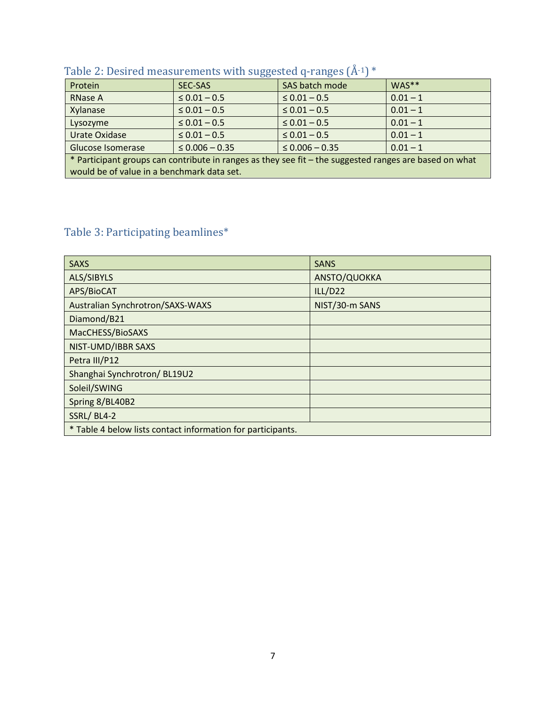| Protein                                                                                                | SEC-SAS           | SAS batch mode    | $WAS**$    |  |  |  |
|--------------------------------------------------------------------------------------------------------|-------------------|-------------------|------------|--|--|--|
| <b>RNase A</b>                                                                                         | $\leq 0.01 - 0.5$ | $\leq 0.01 - 0.5$ | $0.01 - 1$ |  |  |  |
| Xylanase                                                                                               | $\leq 0.01 - 0.5$ | $\leq 0.01 - 0.5$ | $0.01 - 1$ |  |  |  |
| Lysozyme                                                                                               | $\leq 0.01 - 0.5$ | $\leq 0.01 - 0.5$ | $0.01 - 1$ |  |  |  |
| <b>Urate Oxidase</b>                                                                                   | $\leq 0.01 - 0.5$ | $\leq 0.01 - 0.5$ | $0.01 - 1$ |  |  |  |
| $0.01 - 1$<br>$\leq 0.006 - 0.35$<br>$\leq 0.006 - 0.35$<br>Glucose Isomerase                          |                   |                   |            |  |  |  |
| * Participant groups can contribute in ranges as they see fit – the suggested ranges are based on what |                   |                   |            |  |  |  |
| would be of value in a benchmark data set.                                                             |                   |                   |            |  |  |  |

## Table 2: Desired measurements with suggested q-ranges  $(\AA^{-1})^*$

## Table 3: Participating beamlines\*

| <b>SAXS</b>                                                 | <b>SANS</b>    |  |  |  |
|-------------------------------------------------------------|----------------|--|--|--|
| ALS/SIBYLS                                                  | ANSTO/QUOKKA   |  |  |  |
| APS/BioCAT                                                  | ILL/D22        |  |  |  |
| Australian Synchrotron/SAXS-WAXS                            | NIST/30-m SANS |  |  |  |
| Diamond/B21                                                 |                |  |  |  |
| MacCHESS/BioSAXS                                            |                |  |  |  |
| NIST-UMD/IBBR SAXS                                          |                |  |  |  |
| Petra III/P12                                               |                |  |  |  |
| Shanghai Synchrotron/ BL19U2                                |                |  |  |  |
| Soleil/SWING                                                |                |  |  |  |
| Spring 8/BL40B2                                             |                |  |  |  |
| SSRL/BL4-2                                                  |                |  |  |  |
| * Table 4 below lists contact information for participants. |                |  |  |  |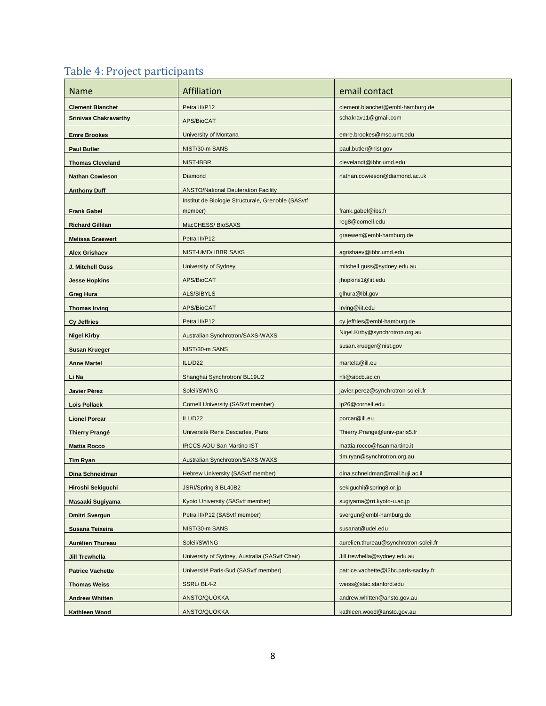# Table 4: Project participants

| Name                         | Affiliation                                                   | email contact                          |
|------------------------------|---------------------------------------------------------------|----------------------------------------|
| <b>Clement Blanchet</b>      | Petra III/P12                                                 | clement.blanchet@embl-hamburg.de       |
| <b>Srinivas Chakravarthy</b> | APS/BioCAT                                                    | schakrav11@gmail.com                   |
| <b>Emre Brookes</b>          | University of Montana                                         | emre.brookes@mso.umt.edu               |
| <b>Paul Butler</b>           | NIST/30-m SANS                                                | paul.butler@nist.gov                   |
| <b>Thomas Cleveland</b>      | NIST-IBBR                                                     | clevelandt@ibbr.umd.edu                |
| <b>Nathan Cowieson</b>       | Diamond                                                       | nathan.cowieson@diamond.ac.uk          |
| <b>Anthony Duff</b>          | <b>ANSTO/National Deuteration Facility</b>                    |                                        |
| <b>Frank Gabel</b>           | Institut de Biologie Structurale, Grenoble (SASvtf<br>member) | frank.gabel@ibs.fr                     |
| <b>Richard Gillilan</b>      | MacCHESS/BioSAXS                                              | reg8@cornell.edu                       |
| <b>Melissa Graewert</b>      | Petra III/P12                                                 | graewert@embl-hamburg.de               |
| Alex Grishaev                | NIST-UMD/ IBBR SAXS                                           | agrishaev@ibbr.umd.edu                 |
| J. Mitchell Guss             | University of Sydney                                          | mitchell.guss@sydney.edu.au            |
| <b>Jesse Hopkins</b>         | APS/BioCAT                                                    | jhopkins1@iit.edu                      |
| Greg Hura                    | <b>ALS/SIBYLS</b>                                             | glhura@lbl.gov                         |
| <b>Thomas Irving</b>         | APS/BioCAT                                                    | irving@iit.edu                         |
| <b>Cy Jeffries</b>           | Petra III/P12                                                 | cy.jeffries@embl-hamburg.de            |
| <b>Nigel Kirby</b>           | Australian Synchrotron/SAXS-WAXS                              | Nigel.Kirby@synchrotron.org.au         |
| <b>Susan Krueger</b>         | NIST/30-m SANS                                                | susan.krueger@nist.gov                 |
| <b>Anne Martel</b>           | ILL/D22                                                       | martela@ill.eu                         |
| Li Na                        | Shanghai Synchrotron/ BL19U2                                  | nli@sibcb.ac.cn                        |
| Javier Pérez                 | Soleil/SWING                                                  | javier.perez@synchrotron-soleil.fr     |
| Lois Pollack                 | Cornell University (SASvtf member)                            | lp26@cornell.edu                       |
| <b>Lionel Porcar</b>         | ILL/D22                                                       | porcar@ill.eu                          |
| <b>Thierry Prangé</b>        | Université René Descartes, Paris                              | Thierry.Prange@univ-paris5.fr          |
| <b>Mattia Rocco</b>          | <b>IRCCS AOU San Martino IST</b>                              | mattia.rocco@hsanmartino.it            |
| <b>Tim Ryan</b>              | Australian Synchrotron/SAXS-WAXS                              | tim.ryan@synchrotron.org.au            |
| Dina Schneidman              | Hebrew University (SASvtf member)                             | dina.schneidman@mail.huji.ac.il        |
| Hiroshi Sekiguchi            | JSRI/Spring 8 BL40B2                                          | sekiguchi@spring8.or.jp                |
| Masaaki Sugiyama             | Kyoto University (SASvtf member)                              | sugiyama@rri.kyoto-u.ac.jp             |
| <b>Dmitri Svergun</b>        | Petra III/P12 (SASvtf member)                                 | svergun@embl-hamburg.de                |
| Susana Teixeira              | NIST/30-m SANS                                                | susanat@udel.edu                       |
| <b>Aurélien Thureau</b>      | Soleil/SWING                                                  | aurelien.thureau@synchrotron-soleil.fr |
| <b>Jill Trewhella</b>        | University of Sydney, Australia (SASvtf Chair)                | Jill.trewhella@sydney.edu.au           |
| <b>Patrice Vachette</b>      | Université Paris-Sud (SASvtf member)                          | patrice.vachette@i2bc.paris-saclay.fr  |
| <b>Thomas Weiss</b>          | SSRL/BL4-2                                                    | weiss@slac.stanford.edu                |
| <b>Andrew Whitten</b>        | ANSTO/QUOKKA                                                  | andrew.whitten@ansto.gov.au            |
| Kathleen Wood                | ANSTO/QUOKKA                                                  | kathleen.wood@ansto.gov.au             |